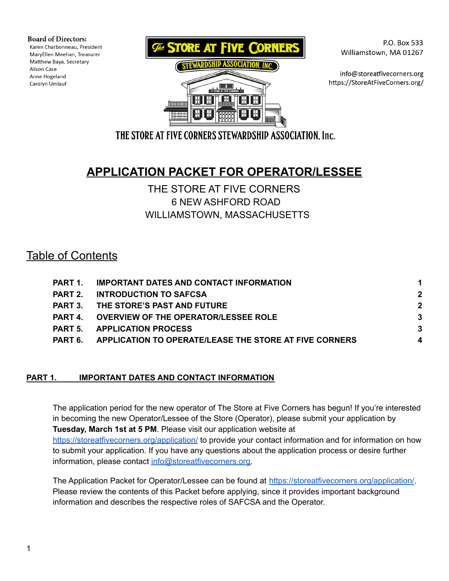**Board of Directors:** 

Karen Charbonneau, President MaryEllen Meehan, Treasurer Matthew Baya, Secretary Alison Case Anne Hogeland Carolyn Umlauf





P.O. Box 533 Williamstown, MA 01267

info@storeatfivecorners.org https://StoreAtFiveCorners.org/

THE STORE AT FIVE CORNERS STEWARDSHIP ASSOCIATION, Inc.

# **APPLICATION PACKET FOR OPERATOR/LESSEE**

## THE STORE AT FIVE CORNERS 6 NEW ASHFORD ROAD WILLIAMSTOWN, MASSACHUSETTS

## Table of Contents

| PART 1  | <b>IMPORTANT DATES AND CONTACT INFORMATION</b>         |             |
|---------|--------------------------------------------------------|-------------|
|         | <b>PART 2. INTRODUCTION TO SAFCSA</b>                  | $\mathbf 2$ |
|         | PART 3. THE STORE'S PAST AND FUTURE                    | 2           |
| PART 4  | <b>OVERVIEW OF THE OPERATOR/LESSEE ROLE</b>            | 3           |
|         | <b>PART 5. APPLICATION PROCESS</b>                     | 3           |
| PART 6. | APPLICATION TO OPERATE/LEASE THE STORE AT FIVE CORNERS | 4           |
|         |                                                        |             |

### <span id="page-0-0"></span>**PART 1. IMPORTANT DATES AND CONTACT INFORMATION**

The application period for the new operator of The Store at Five Corners has begun! If you're interested in becoming the new Operator/Lessee of the Store (Operator), please submit your application by **Tuesday, March 1st at 5 PM**. Please visit our application website at <https://storeatfivecorners.org/application/> to provide your contact information and for information on how to submit your application. If you have any questions about the application process or desire further information, please contact [info@storeatfivecorners.org.](mailto:info@storeatfivecorners.org)

The Application Packet for Operator/Lessee can be found at <https://storeatfivecorners.org/application/>. Please review the contents of this Packet before applying, since it provides important background information and describes the respective roles of SAFCSA and the Operator.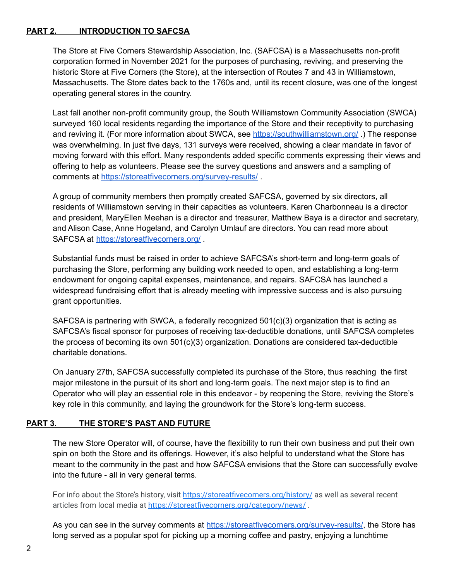#### **PART 2. INTRODUCTION TO SAFCSA**

The Store at Five Corners Stewardship Association, Inc. (SAFCSA) is a Massachusetts non-profit corporation formed in November 2021 for the purposes of purchasing, reviving, and preserving the historic Store at Five Corners (the Store), at the intersection of Routes 7 and 43 in Williamstown, Massachusetts. The Store dates back to the 1760s and, until its recent closure, was one of the longest operating general stores in the country.

Last fall another non-profit community group, the South Williamstown Community Association (SWCA) surveyed 160 local residents regarding the importance of the Store and their receptivity to purchasing and reviving it. (For more information about SWCA, see <https://southwilliamstown.org/>.) The response was overwhelming. In just five days, 131 surveys were received, showing a clear mandate in favor of moving forward with this effort. Many respondents added specific comments expressing their views and offering to help as volunteers. Please see the survey questions and answers and a sampling of comments at <https://storeatfivecorners.org/survey-results/> .

A group of community members then promptly created SAFCSA, governed by six directors, all residents of Williamstown serving in their capacities as volunteers. Karen Charbonneau is a director and president, MaryEllen Meehan is a director and treasurer, Matthew Baya is a director and secretary, and Alison Case, Anne Hogeland, and Carolyn Umlauf are directors. You can read more about SAFCSA at <https://storeatfivecorners.org/> .

Substantial funds must be raised in order to achieve SAFCSA's short-term and long-term goals of purchasing the Store, performing any building work needed to open, and establishing a long-term endowment for ongoing capital expenses, maintenance, and repairs. SAFCSA has launched a widespread fundraising effort that is already meeting with impressive success and is also pursuing grant opportunities.

SAFCSA is partnering with SWCA, a federally recognized 501(c)(3) organization that is acting as SAFCSA's fiscal sponsor for purposes of receiving tax-deductible donations, until SAFCSA completes the process of becoming its own 501(c)(3) organization. Donations are considered tax-deductible charitable donations.

On January 27th, SAFCSA successfully completed its purchase of the Store, thus reaching the first major milestone in the pursuit of its short and long-term goals. The next major step is to find an Operator who will play an essential role in this endeavor - by reopening the Store, reviving the Store's key role in this community, and laying the groundwork for the Store's long-term success.

#### **PART 3. THE STORE'S PAST AND FUTURE**

The new Store Operator will, of course, have the flexibility to run their own business and put their own spin on both the Store and its offerings. However, it's also helpful to understand what the Store has meant to the community in the past and how SAFCSA envisions that the Store can successfully evolve into the future - all in very general terms.

For info about the Store's history, visit <https://storeatfivecorners.org/history/> as well as several recent articles from local media at <https://storeatfivecorners.org/category/news/> .

As you can see in the survey comments at <https://storeatfivecorners.org/survey-results/>, the Store has long served as a popular spot for picking up a morning coffee and pastry, enjoying a lunchtime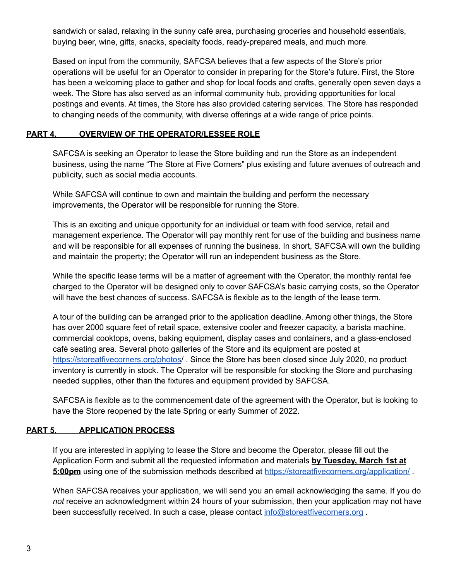sandwich or salad, relaxing in the sunny café area, purchasing groceries and household essentials, buying beer, wine, gifts, snacks, specialty foods, ready-prepared meals, and much more.

Based on input from the community, SAFCSA believes that a few aspects of the Store's prior operations will be useful for an Operator to consider in preparing for the Store's future. First, the Store has been a welcoming place to gather and shop for local foods and crafts, generally open seven days a week. The Store has also served as an informal community hub, providing opportunities for local postings and events. At times, the Store has also provided catering services. The Store has responded to changing needs of the community, with diverse offerings at a wide range of price points.

#### <span id="page-2-0"></span>**PART 4. OVERVIEW OF THE OPERATOR/LESSEE ROLE**

SAFCSA is seeking an Operator to lease the Store building and run the Store as an independent business, using the name "The Store at Five Corners" plus existing and future avenues of outreach and publicity, such as social media accounts.

While SAFCSA will continue to own and maintain the building and perform the necessary improvements, the Operator will be responsible for running the Store.

This is an exciting and unique opportunity for an individual or team with food service, retail and management experience. The Operator will pay monthly rent for use of the building and business name and will be responsible for all expenses of running the business. In short, SAFCSA will own the building and maintain the property; the Operator will run an independent business as the Store.

While the specific lease terms will be a matter of agreement with the Operator, the monthly rental fee charged to the Operator will be designed only to cover SAFCSA's basic carrying costs, so the Operator will have the best chances of success. SAFCSA is flexible as to the length of the lease term.

A tour of the building can be arranged prior to the application deadline. Among other things, the Store has over 2000 square feet of retail space, extensive cooler and freezer capacity, a barista machine, commercial cooktops, ovens, baking equipment, display cases and containers, and a glass-enclosed café seating area. Several photo galleries of the Store and its equipment are posted at <https://storeatfivecorners.org/photos>/ . Since the Store has been closed since July 2020, no product inventory is currently in stock. The Operator will be responsible for stocking the Store and purchasing needed supplies, other than the fixtures and equipment provided by SAFCSA.

SAFCSA is flexible as to the commencement date of the agreement with the Operator, but is looking to have the Store reopened by the late Spring or early Summer of 2022.

#### **PART 5. APPLICATION PROCESS**

If you are interested in applying to lease the Store and become the Operator, please fill out the Application Form and submit all the requested information and materials **by Tuesday, March 1st at** 5:00pm using one of the submission methods described at <https://storeatfivecorners.org/application/>.

When SAFCSA receives your application, we will send you an email acknowledging the same. If you do *not* receive an acknowledgment within 24 hours of your submission, then your application may not have been successfully received. In such a case, please contact [info@storeatfivecorners.org](mailto:info@storeatfivecorners.org).